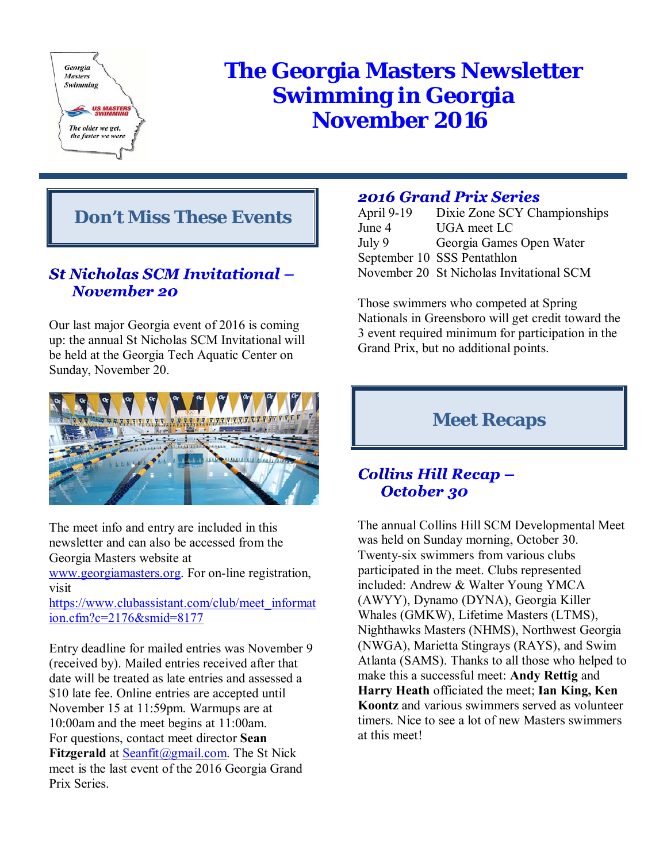

# **The Georgia Masters Newsletter Swimming in Georgia November 2016**

# **Don't Miss These Events**

## St Nicholas SCM Invitational – **November 20**

Our last major Georgia event of 2016 is coming up: the annual St Nicholas SCM Invitational will be held at the Georgia Tech Aquatic Center on Sunday, November 20.



The meet info and entry are included in this newsletter and can also be accessed from the Georgia Masters website at

www.georgiamasters.org. For on-line registration, visit

https://www.clubassistant.com/club/meet\_informat ion.cfm?c=2176&smid=8177

Entry deadline for mailed entries was November 9 (received by). Mailed entries received after that date will be treated as late entries and assessed a \$10 late fee. Online entries are accepted until November 15 at 11:59pm. Warmups are at 10:00am and the meet begins at 11:00am. For questions, contact meet director **Sean Fitzgerald** at **Seanfit** @gmail.com. The St Nick meet is the last event of the 2016 Georgia Grand Prix Series.

# **2016 Grand Prix Series**

| April 9-19 | Dixie Zone SCY Championships             |
|------------|------------------------------------------|
| June 4     | UGA meet LC                              |
| July 9     | Georgia Games Open Water                 |
|            | September 10 SSS Pentathlon              |
|            | November 20 St Nicholas Invitational SCM |

Those swimmers who competed at Spring Nationals in Greensboro will get credit toward the 3 event required minimum for participation in the Grand Prix, but no additional points.

# **Meet Recaps**

## **Collins Hill Recap -**October 30

The annual Collins Hill SCM Developmental Meet was held on Sunday morning, October 30. Twenty-six swimmers from various clubs participated in the meet. Clubs represented included: Andrew & Walter Young YMCA (AWYY), Dynamo (DYNA), Georgia Killer Whales (GMKW), Lifetime Masters (LTMS), Nighthawks Masters (NHMS), Northwest Georgia (NWGA), Marietta Stingrays (RAYS), and Swim Atlanta (SAMS). Thanks to all those who helped to make this a successful meet: **Andy Rettig** and **Harry Heath** officiated the meet; **Ian King, Ken Koontz** and various swimmers served as volunteer timers. Nice to see a lot of new Masters swimmers at this meet!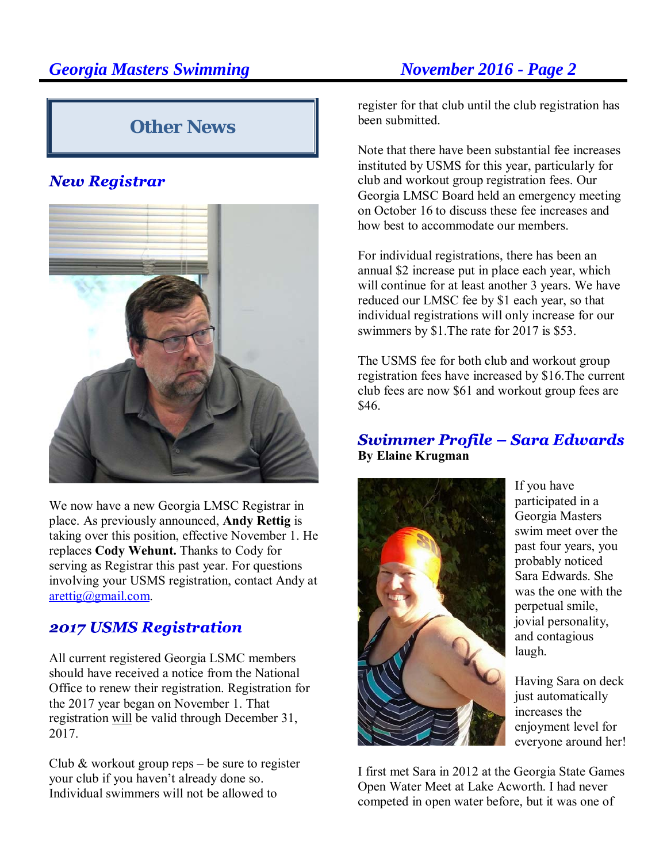# **Other News**

# **New Registrar**



We now have a new Georgia LMSC Registrar in place. As previously announced, **Andy Rettig** is taking over this position, effective November 1. He replaces **Cody Wehunt.** Thanks to Cody for serving as Registrar this past year. For questions involving your USMS registration, contact Andy at arettig@gmail.com.

## **2017 USMS Registration**

All current registered Georgia LSMC members should have received a notice from the National Office to renew their registration. Registration for the 2017 year began on November 1. That registration will be valid through December 31, 2017.

Club  $&$  workout group reps – be sure to register your club if you haven't already done so. Individual swimmers will not be allowed to

register for that club until the club registration has been submitted.

Note that there have been substantial fee increases instituted by USMS for this year, particularly for club and workout group registration fees. Our Georgia LMSC Board held an emergency meeting on October 16 to discuss these fee increases and how best to accommodate our members.

For individual registrations, there has been an annual \$2 increase put in place each year, which will continue for at least another 3 years. We have reduced our LMSC fee by \$1 each year, so that individual registrations will only increase for our swimmers by \$1.The rate for 2017 is \$53.

The USMS fee for both club and workout group registration fees have increased by \$16.The current club fees are now \$61 and workout group fees are \$46.

## **Swimmer Profile - Sara Edwards By Elaine Krugman**



If you have participated in a Georgia Masters swim meet over the past four years, you probably noticed Sara Edwards. She was the one with the perpetual smile, jovial personality, and contagious laugh.

Having Sara on deck just automatically increases the enjoyment level for everyone around her!

I first met Sara in 2012 at the Georgia State Games Open Water Meet at Lake Acworth. I had never competed in open water before, but it was one of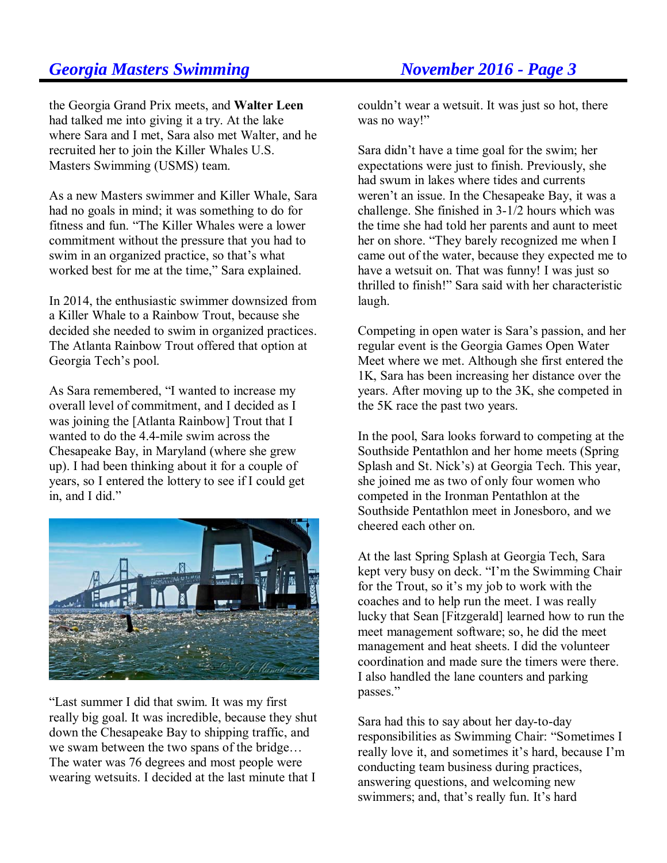the Georgia Grand Prix meets, and **Walter Leen** had talked me into giving it a try. At the lake where Sara and I met, Sara also met Walter, and he recruited her to join the Killer Whales U.S. Masters Swimming (USMS) team.

As a new Masters swimmer and Killer Whale, Sara had no goals in mind; it was something to do for fitness and fun. "The Killer Whales were a lower commitment without the pressure that you had to swim in an organized practice, so that's what worked best for me at the time," Sara explained.

In 2014, the enthusiastic swimmer downsized from a Killer Whale to a Rainbow Trout, because she decided she needed to swim in organized practices. The Atlanta Rainbow Trout offered that option at Georgia Tech's pool.

As Sara remembered, "I wanted to increase my overall level of commitment, and I decided as I was joining the [Atlanta Rainbow] Trout that I wanted to do the 4.4-mile swim across the Chesapeake Bay, in Maryland (where she grew up). I had been thinking about it for a couple of years, so I entered the lottery to see if I could get in, and I did."



"Last summer I did that swim. It was my first really big goal. It was incredible, because they shut down the Chesapeake Bay to shipping traffic, and we swam between the two spans of the bridge… The water was 76 degrees and most people were wearing wetsuits. I decided at the last minute that I

couldn't wear a wetsuit. It was just so hot, there was no way!"

Sara didn't have a time goal for the swim; her expectations were just to finish. Previously, she had swum in lakes where tides and currents weren't an issue. In the Chesapeake Bay, it was a challenge. She finished in 3-1/2 hours which was the time she had told her parents and aunt to meet her on shore. "They barely recognized me when I came out of the water, because they expected me to have a wetsuit on. That was funny! I was just so thrilled to finish!" Sara said with her characteristic laugh.

Competing in open water is Sara's passion, and her regular event is the Georgia Games Open Water Meet where we met. Although she first entered the 1K, Sara has been increasing her distance over the years. After moving up to the 3K, she competed in the 5K race the past two years.

In the pool, Sara looks forward to competing at the Southside Pentathlon and her home meets (Spring Splash and St. Nick's) at Georgia Tech. This year, she joined me as two of only four women who competed in the Ironman Pentathlon at the Southside Pentathlon meet in Jonesboro, and we cheered each other on.

At the last Spring Splash at Georgia Tech, Sara kept very busy on deck. "I'm the Swimming Chair for the Trout, so it's my job to work with the coaches and to help run the meet. I was really lucky that Sean [Fitzgerald] learned how to run the meet management software; so, he did the meet management and heat sheets. I did the volunteer coordination and made sure the timers were there. I also handled the lane counters and parking passes."

Sara had this to say about her day-to-day responsibilities as Swimming Chair: "Sometimes I really love it, and sometimes it's hard, because I'm conducting team business during practices, answering questions, and welcoming new swimmers; and, that's really fun. It's hard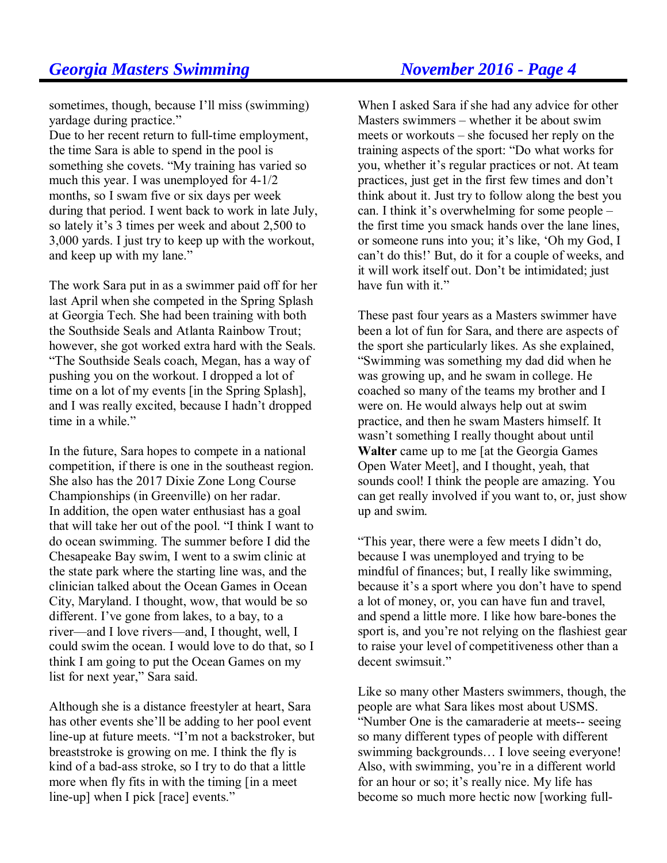sometimes, though, because I'll miss (swimming) yardage during practice."

Due to her recent return to full-time employment, the time Sara is able to spend in the pool is something she covets. "My training has varied so much this year. I was unemployed for 4-1/2 months, so I swam five or six days per week during that period. I went back to work in late July, so lately it's 3 times per week and about 2,500 to 3,000 yards. I just try to keep up with the workout, and keep up with my lane."

The work Sara put in as a swimmer paid off for her last April when she competed in the Spring Splash at Georgia Tech. She had been training with both the Southside Seals and Atlanta Rainbow Trout; however, she got worked extra hard with the Seals. "The Southside Seals coach, Megan, has a way of pushing you on the workout. I dropped a lot of time on a lot of my events [in the Spring Splash], and I was really excited, because I hadn't dropped time in a while."

In the future, Sara hopes to compete in a national competition, if there is one in the southeast region. She also has the 2017 Dixie Zone Long Course Championships (in Greenville) on her radar. In addition, the open water enthusiast has a goal that will take her out of the pool. "I think I want to do ocean swimming. The summer before I did the Chesapeake Bay swim, I went to a swim clinic at the state park where the starting line was, and the clinician talked about the Ocean Games in Ocean City, Maryland. I thought, wow, that would be so different. I've gone from lakes, to a bay, to a river—and I love rivers—and, I thought, well, I could swim the ocean. I would love to do that, so I think I am going to put the Ocean Games on my list for next year," Sara said.

Although she is a distance freestyler at heart, Sara has other events she'll be adding to her pool event line-up at future meets. "I'm not a backstroker, but breaststroke is growing on me. I think the fly is kind of a bad-ass stroke, so I try to do that a little more when fly fits in with the timing [in a meet line-up] when I pick [race] events."

When I asked Sara if she had any advice for other Masters swimmers – whether it be about swim meets or workouts – she focused her reply on the training aspects of the sport: "Do what works for you, whether it's regular practices or not. At team practices, just get in the first few times and don't think about it. Just try to follow along the best you can. I think it's overwhelming for some people – the first time you smack hands over the lane lines, or someone runs into you; it's like, 'Oh my God, I can't do this!' But, do it for a couple of weeks, and it will work itself out. Don't be intimidated; just have fun with it."

These past four years as a Masters swimmer have been a lot of fun for Sara, and there are aspects of the sport she particularly likes. As she explained, "Swimming was something my dad did when he was growing up, and he swam in college. He coached so many of the teams my brother and I were on. He would always help out at swim practice, and then he swam Masters himself. It wasn't something I really thought about until **Walter** came up to me [at the Georgia Games Open Water Meet], and I thought, yeah, that sounds cool! I think the people are amazing. You can get really involved if you want to, or, just show up and swim.

"This year, there were a few meets I didn't do, because I was unemployed and trying to be mindful of finances; but, I really like swimming, because it's a sport where you don't have to spend a lot of money, or, you can have fun and travel, and spend a little more. I like how bare-bones the sport is, and you're not relying on the flashiest gear to raise your level of competitiveness other than a decent swimsuit."

Like so many other Masters swimmers, though, the people are what Sara likes most about USMS. "Number One is the camaraderie at meets-- seeing so many different types of people with different swimming backgrounds… I love seeing everyone! Also, with swimming, you're in a different world for an hour or so; it's really nice. My life has become so much more hectic now [working full-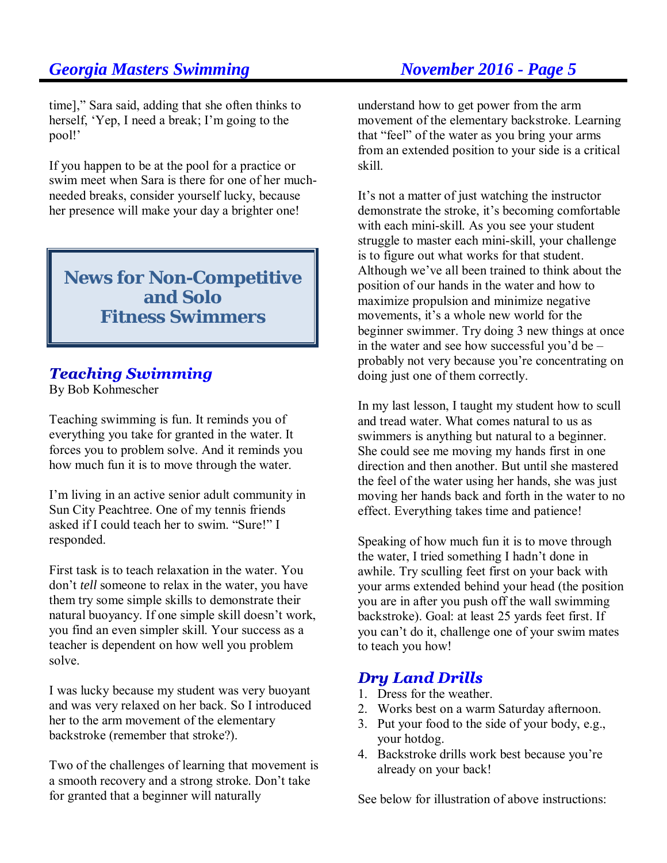time]," Sara said, adding that she often thinks to herself, 'Yep, I need a break; I'm going to the pool!'

If you happen to be at the pool for a practice or swim meet when Sara is there for one of her muchneeded breaks, consider yourself lucky, because her presence will make your day a brighter one!

**News for Non-Competitive and Solo Fitness Swimmers**

# **Teaching Swimming**

By Bob Kohmescher

Teaching swimming is fun. It reminds you of everything you take for granted in the water. It forces you to problem solve. And it reminds you how much fun it is to move through the water.

I'm living in an active senior adult community in Sun City Peachtree. One of my tennis friends asked if I could teach her to swim. "Sure!" I responded.

First task is to teach relaxation in the water. You don't *tell* someone to relax in the water, you have them try some simple skills to demonstrate their natural buoyancy. If one simple skill doesn't work, you find an even simpler skill. Your success as a teacher is dependent on how well you problem solve.

I was lucky because my student was very buoyant and was very relaxed on her back. So I introduced her to the arm movement of the elementary backstroke (remember that stroke?).

Two of the challenges of learning that movement is a smooth recovery and a strong stroke. Don't take for granted that a beginner will naturally

understand how to get power from the arm movement of the elementary backstroke. Learning that "feel" of the water as you bring your arms from an extended position to your side is a critical skill.

It's not a matter of just watching the instructor demonstrate the stroke, it's becoming comfortable with each mini-skill. As you see your student struggle to master each mini-skill, your challenge is to figure out what works for that student. Although we've all been trained to think about the position of our hands in the water and how to maximize propulsion and minimize negative movements, it's a whole new world for the beginner swimmer. Try doing 3 new things at once in the water and see how successful you'd be – probably not very because you're concentrating on doing just one of them correctly.

In my last lesson, I taught my student how to scull and tread water. What comes natural to us as swimmers is anything but natural to a beginner. She could see me moving my hands first in one direction and then another. But until she mastered the feel of the water using her hands, she was just moving her hands back and forth in the water to no effect. Everything takes time and patience!

Speaking of how much fun it is to move through the water, I tried something I hadn't done in awhile. Try sculling feet first on your back with your arms extended behind your head (the position you are in after you push off the wall swimming backstroke). Goal: at least 25 yards feet first. If you can't do it, challenge one of your swim mates to teach you how!

# **Dry Land Drills**

- 1. Dress for the weather.
- 2. Works best on a warm Saturday afternoon.
- 3. Put your food to the side of your body, e.g., your hotdog.
- 4. Backstroke drills work best because you're already on your back!

See below for illustration of above instructions: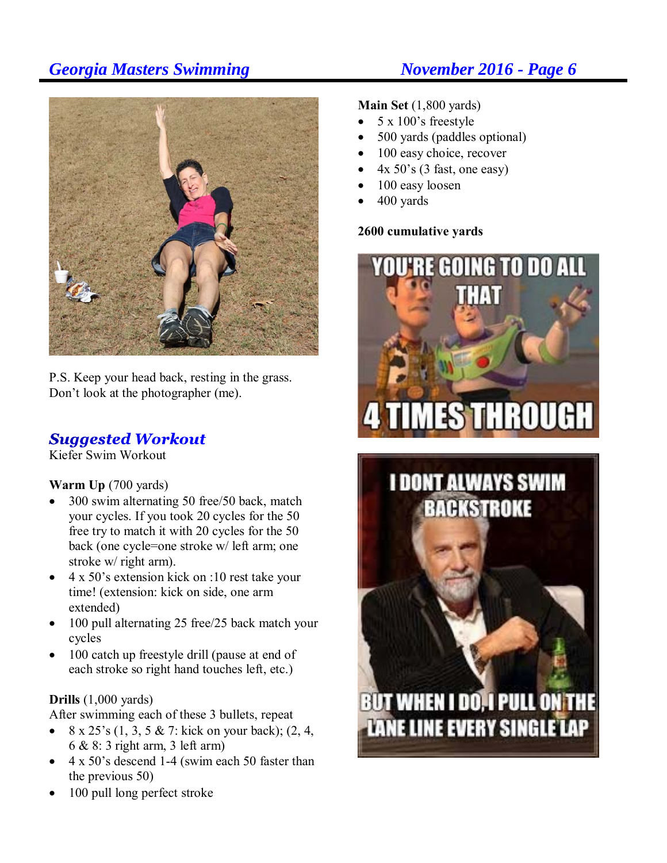

P.S. Keep your head back, resting in the grass. Don't look at the photographer (me).

# **Suggested Workout**

Kiefer Swim Workout

## **Warm Up** (700 yards)

- 300 swim alternating 50 free/50 back, match your cycles. If you took 20 cycles for the 50 free try to match it with 20 cycles for the 50 back (one cycle=one stroke w/ left arm; one stroke w/ right arm).
- 4 x 50's extension kick on :10 rest take your time! (extension: kick on side, one arm extended)
- 100 pull alternating 25 free/25 back match your cycles
- 100 catch up freestyle drill (pause at end of each stroke so right hand touches left, etc.)

### **Drills** (1,000 yards)

After swimming each of these 3 bullets, repeat

- $8 \times 25$ 's  $(1, 3, 5 \& 7$ : kick on your back);  $(2, 4, 1)$ 6 & 8: 3 right arm, 3 left arm)
- 4 x 50's descend 1-4 (swim each 50 faster than the previous 50)
- 100 pull long perfect stroke

**Main Set** (1,800 yards)

- 5 x 100's freestyle
- 500 yards (paddles optional)
- 100 easy choice, recover
- 4x 50's (3 fast, one easy)
- 100 easy loosen
- 400 yards

## **2600 cumulative yards**



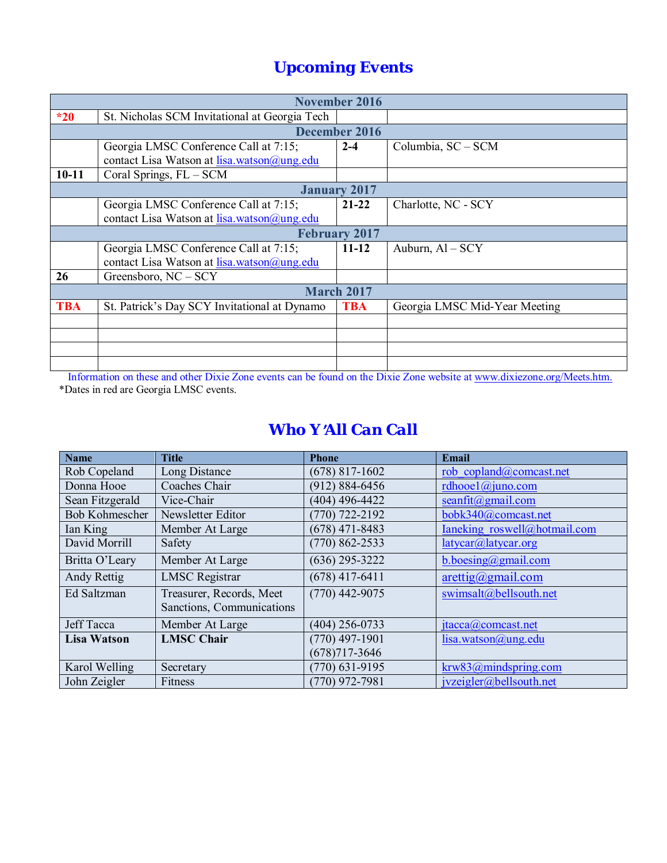# *Upcoming Events*

|            | <b>November 2016</b>                          |                      |                               |  |  |  |
|------------|-----------------------------------------------|----------------------|-------------------------------|--|--|--|
| $*20$      | St. Nicholas SCM Invitational at Georgia Tech |                      |                               |  |  |  |
|            |                                               | <b>December 2016</b> |                               |  |  |  |
|            | Georgia LMSC Conference Call at 7:15;         | $2 - 4$              | Columbia, SC - SCM            |  |  |  |
|            | contact Lisa Watson at lisa.watson@ung.edu    |                      |                               |  |  |  |
| $10 - 11$  | Coral Springs, FL - SCM                       |                      |                               |  |  |  |
|            |                                               | <b>January 2017</b>  |                               |  |  |  |
|            | Georgia LMSC Conference Call at 7:15;         | $21 - 22$            | Charlotte, NC - SCY           |  |  |  |
|            | contact Lisa Watson at lisa.watson@ung.edu    |                      |                               |  |  |  |
|            | <b>February 2017</b>                          |                      |                               |  |  |  |
|            | Georgia LMSC Conference Call at 7:15;         | $11 - 12$            | Auburn, $AI - SCY$            |  |  |  |
|            | contact Lisa Watson at lisa.watson@ung.edu    |                      |                               |  |  |  |
| 26         | Greensboro, NC - SCY                          |                      |                               |  |  |  |
|            | <b>March 2017</b>                             |                      |                               |  |  |  |
| <b>TBA</b> | St. Patrick's Day SCY Invitational at Dynamo  |                      | Georgia LMSC Mid-Year Meeting |  |  |  |
|            |                                               |                      |                               |  |  |  |
|            |                                               |                      |                               |  |  |  |
|            |                                               |                      |                               |  |  |  |
|            |                                               |                      |                               |  |  |  |

 Information on these and other Dixie Zone events can be found on the Dixie Zone website at www.dixiezone.org/Meets.htm. \*Dates in red are Georgia LMSC events.

## *Who Y*=*All Can Call*

| <b>Name</b>                             | <b>Title</b>              | <b>Phone</b>       | Email                         |  |
|-----------------------------------------|---------------------------|--------------------|-------------------------------|--|
| Rob Copeland                            | Long Distance             | $(678)$ 817-1602   | rob copland@comcast.net       |  |
| Donna Hooe                              | Coaches Chair             | $(912) 884 - 6456$ | rdhooel $@$ juno.com          |  |
| Sean Fitzgerald                         | Vice-Chair                | (404) 496-4422     | $seanfit(a)$ gmail.com        |  |
| <b>Bob Kohmescher</b>                   | Newsletter Editor         | $(770)$ 722-2192   | bobk340@comcast.net           |  |
| Ian King                                | Member At Large           | $(678)$ 471-8483   | Ianeking roswell@hotmail.com  |  |
| David Morrill                           | Safety                    | $(770) 862 - 2533$ | latycar@latycar.org           |  |
| Britta O'Leary                          | Member At Large           | $(636)$ 295-3222   | b.boesing@gmail.com           |  |
| Andy Rettig                             | <b>LMSC</b> Registrar     | $(678)$ 417-6411   | $\arcti\frac{q}{q}$ gmail.com |  |
| Treasurer, Records, Meet<br>Ed Saltzman |                           | $(770)$ 442-9075   | swimsalt@bellsouth.net        |  |
|                                         | Sanctions, Communications |                    |                               |  |
| <b>Jeff Tacca</b>                       | Member At Large           | $(404)$ 256-0733   | jtacca@comcast.net            |  |
| <b>Lisa Watson</b>                      | <b>LMSC Chair</b>         | $(770)$ 497-1901   | lisa.watson@ung.edu           |  |
|                                         |                           | $(678)717 - 3646$  |                               |  |
| Karol Welling                           | Secretary                 | $(770)$ 631-9195   | krw83@mindspring.com          |  |
| John Zeigler                            | Fitness                   | $(770)$ 972-7981   | jvzeigler@bellsouth.net       |  |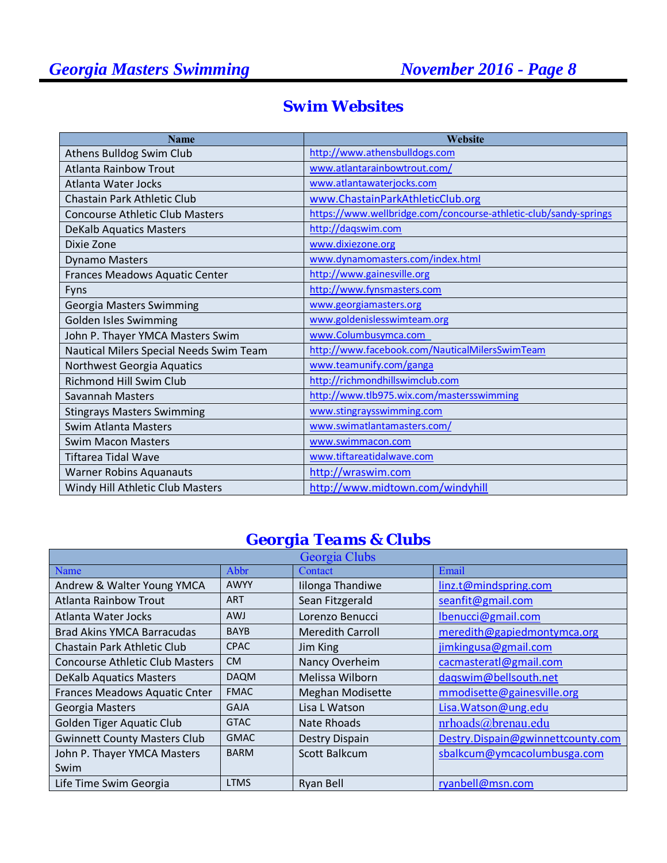| <b>Name</b>                             | Website                                                          |
|-----------------------------------------|------------------------------------------------------------------|
| Athens Bulldog Swim Club                | http://www.athensbulldogs.com                                    |
| <b>Atlanta Rainbow Trout</b>            | www.atlantarainbowtrout.com/                                     |
| Atlanta Water Jocks                     | www.atlantawaterjocks.com                                        |
| Chastain Park Athletic Club             | www.ChastainParkAthleticClub.org                                 |
| <b>Concourse Athletic Club Masters</b>  | https://www.wellbridge.com/concourse-athletic-club/sandy-springs |
| <b>DeKalb Aquatics Masters</b>          | http://dagswim.com                                               |
| Dixie Zone                              | www.dixiezone.org                                                |
| <b>Dynamo Masters</b>                   | www.dynamomasters.com/index.html                                 |
| Frances Meadows Aquatic Center          | http://www.gainesville.org                                       |
| Fyns                                    | http://www.fynsmasters.com                                       |
| <b>Georgia Masters Swimming</b>         | www.georgiamasters.org                                           |
| Golden Isles Swimming                   | www.goldenislesswimteam.org                                      |
| John P. Thayer YMCA Masters Swim        | www.Columbusymca.com                                             |
| Nautical Milers Special Needs Swim Team | http://www.facebook.com/NauticalMilersSwimTeam                   |
| Northwest Georgia Aquatics              | www.teamunify.com/ganga                                          |
| Richmond Hill Swim Club                 | http://richmondhillswimclub.com                                  |
| Savannah Masters                        | http://www.tlb975.wix.com/mastersswimming                        |
| <b>Stingrays Masters Swimming</b>       | www.stingraysswimming.com                                        |
| <b>Swim Atlanta Masters</b>             | www.swimatlantamasters.com/                                      |
| <b>Swim Macon Masters</b>               | www.swimmacon.com                                                |
| Tiftarea Tidal Wave                     | www.tiftareatidalwave.com                                        |
| <b>Warner Robins Aquanauts</b>          | http://wraswim.com                                               |
| Windy Hill Athletic Club Masters        | http://www.midtown.com/windyhill                                 |

# *Swim Websites*

# *Georgia Teams & Clubs*

| Georgia Clubs                          |             |                         |                                   |  |  |  |
|----------------------------------------|-------------|-------------------------|-----------------------------------|--|--|--|
| Name                                   | Abbr        | Contact                 | Email                             |  |  |  |
| Andrew & Walter Young YMCA             | <b>AWYY</b> | Iilonga Thandiwe        | linz.t@mindspring.com             |  |  |  |
| <b>Atlanta Rainbow Trout</b>           | <b>ART</b>  | Sean Fitzgerald         | seanfit@gmail.com                 |  |  |  |
| Atlanta Water Jocks                    | <b>AWJ</b>  | Lorenzo Benucci         | lbenucci@gmail.com                |  |  |  |
| <b>Brad Akins YMCA Barracudas</b>      | <b>BAYB</b> | <b>Meredith Carroll</b> | meredith@gapiedmontymca.org       |  |  |  |
| Chastain Park Athletic Club            | <b>CPAC</b> | Jim King                | jimkingusa@gmail.com              |  |  |  |
| <b>Concourse Athletic Club Masters</b> | <b>CM</b>   | Nancy Overheim          | cacmasteratl@gmail.com            |  |  |  |
| <b>DeKalb Aquatics Masters</b>         | <b>DAQM</b> | Melissa Wilborn         | dagswim@bellsouth.net             |  |  |  |
| Frances Meadows Aquatic Cnter          | <b>FMAC</b> | <b>Meghan Modisette</b> | mmodisette@gainesville.org        |  |  |  |
| Georgia Masters                        | <b>GAJA</b> | Lisa L Watson           | Lisa. Watson@ung.edu              |  |  |  |
| <b>Golden Tiger Aquatic Club</b>       | <b>GTAC</b> | <b>Nate Rhoads</b>      | nrhoads@brenau.edu                |  |  |  |
| <b>Gwinnett County Masters Club</b>    | <b>GMAC</b> | Destry Dispain          | Destry.Dispain@gwinnettcounty.com |  |  |  |
| John P. Thayer YMCA Masters            | <b>BARM</b> | Scott Balkcum           | sbalkcum@ymcacolumbusga.com       |  |  |  |
| Swim                                   |             |                         |                                   |  |  |  |
| Life Time Swim Georgia                 | <b>LTMS</b> | Ryan Bell               | ryanbell@msn.com                  |  |  |  |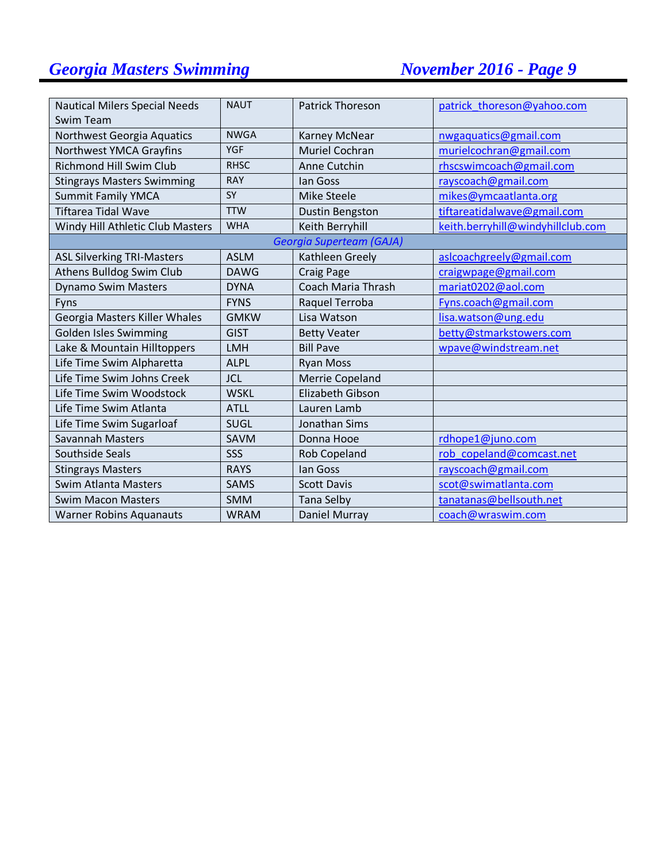| <b>Nautical Milers Special Needs</b> | <b>NAUT</b> | <b>Patrick Thoreson</b>   | patrick thoreson@yahoo.com        |
|--------------------------------------|-------------|---------------------------|-----------------------------------|
| Swim Team                            |             |                           |                                   |
| Northwest Georgia Aquatics           | <b>NWGA</b> | Karney McNear             | nwgaquatics@gmail.com             |
| Northwest YMCA Grayfins              | <b>YGF</b>  | <b>Muriel Cochran</b>     | murielcochran@gmail.com           |
| <b>Richmond Hill Swim Club</b>       | <b>RHSC</b> | Anne Cutchin              | rhscswimcoach@gmail.com           |
| <b>Stingrays Masters Swimming</b>    | <b>RAY</b>  | lan Goss                  | rayscoach@gmail.com               |
| <b>Summit Family YMCA</b>            | SY          | <b>Mike Steele</b>        | mikes@ymcaatlanta.org             |
| <b>Tiftarea Tidal Wave</b>           | <b>TTW</b>  | Dustin Bengston           | tiftareatidalwave@gmail.com       |
| Windy Hill Athletic Club Masters     | <b>WHA</b>  | Keith Berryhill           | keith.berryhill@windyhillclub.com |
|                                      |             | Georgia Superteam (GAJA)  |                                   |
| <b>ASL Silverking TRI-Masters</b>    | <b>ASLM</b> | Kathleen Greely           | aslcoachgreely@gmail.com          |
| Athens Bulldog Swim Club             | <b>DAWG</b> | <b>Craig Page</b>         | craigwpage@gmail.com              |
| <b>Dynamo Swim Masters</b>           | <b>DYNA</b> | <b>Coach Maria Thrash</b> | mariat0202@aol.com                |
| Fyns                                 | <b>FYNS</b> | Raquel Terroba            | Fyns.coach@gmail.com              |
| Georgia Masters Killer Whales        | <b>GMKW</b> | Lisa Watson               | lisa.watson@ung.edu               |
| <b>Golden Isles Swimming</b>         | <b>GIST</b> | <b>Betty Veater</b>       | betty@stmarkstowers.com           |
| Lake & Mountain Hilltoppers          | <b>LMH</b>  | <b>Bill Pave</b>          | wpave@windstream.net              |
| Life Time Swim Alpharetta            | <b>ALPL</b> | <b>Ryan Moss</b>          |                                   |
| Life Time Swim Johns Creek           | <b>JCL</b>  | <b>Merrie Copeland</b>    |                                   |
| Life Time Swim Woodstock             | <b>WSKL</b> | <b>Elizabeth Gibson</b>   |                                   |
| Life Time Swim Atlanta               | <b>ATLL</b> | Lauren Lamb               |                                   |
| Life Time Swim Sugarloaf             | SUGL        | Jonathan Sims             |                                   |
| <b>Savannah Masters</b>              | SAVM        | Donna Hooe                | rdhope1@juno.com                  |
| <b>Southside Seals</b>               | SSS         | <b>Rob Copeland</b>       | rob copeland@comcast.net          |
| <b>Stingrays Masters</b>             | <b>RAYS</b> | lan Goss                  | rayscoach@gmail.com               |
| <b>Swim Atlanta Masters</b>          | <b>SAMS</b> | <b>Scott Davis</b>        | scot@swimatlanta.com              |
| <b>Swim Macon Masters</b>            | <b>SMM</b>  | <b>Tana Selby</b>         | tanatanas@bellsouth.net           |
| <b>Warner Robins Aquanauts</b>       | <b>WRAM</b> | Daniel Murray             | coach@wraswim.com                 |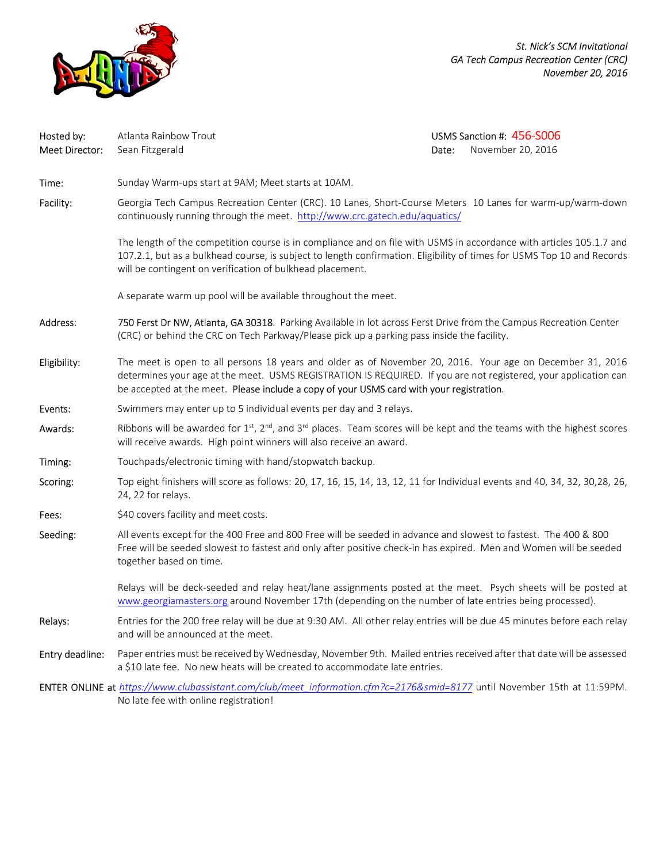

*St. Nick's SCM Invitational GA Tech Campus Recreation Center (CRC) November 20, 2016*

| Hosted by:<br>Meet Director: | Atlanta Rainbow Trout<br>Sean Fitzgerald                                                                                                                                                                                                                                                                                 | Date: | USMS Sanction #: 456-S006<br>November 20, 2016 |  |  |  |  |
|------------------------------|--------------------------------------------------------------------------------------------------------------------------------------------------------------------------------------------------------------------------------------------------------------------------------------------------------------------------|-------|------------------------------------------------|--|--|--|--|
| Time:                        | Sunday Warm-ups start at 9AM; Meet starts at 10AM.                                                                                                                                                                                                                                                                       |       |                                                |  |  |  |  |
| Facility:                    | Georgia Tech Campus Recreation Center (CRC). 10 Lanes, Short-Course Meters 10 Lanes for warm-up/warm-down<br>continuously running through the meet. http://www.crc.gatech.edu/aquatics/                                                                                                                                  |       |                                                |  |  |  |  |
|                              | The length of the competition course is in compliance and on file with USMS in accordance with articles 105.1.7 and<br>107.2.1, but as a bulkhead course, is subject to length confirmation. Eligibility of times for USMS Top 10 and Records<br>will be contingent on verification of bulkhead placement.               |       |                                                |  |  |  |  |
|                              | A separate warm up pool will be available throughout the meet.                                                                                                                                                                                                                                                           |       |                                                |  |  |  |  |
| Address:                     | 750 Ferst Dr NW, Atlanta, GA 30318. Parking Available in lot across Ferst Drive from the Campus Recreation Center<br>(CRC) or behind the CRC on Tech Parkway/Please pick up a parking pass inside the facility.                                                                                                          |       |                                                |  |  |  |  |
| Eligibility:                 | The meet is open to all persons 18 years and older as of November 20, 2016. Your age on December 31, 2016<br>determines your age at the meet. USMS REGISTRATION IS REQUIRED. If you are not registered, your application can<br>be accepted at the meet. Please include a copy of your USMS card with your registration. |       |                                                |  |  |  |  |
| Events:                      | Swimmers may enter up to 5 individual events per day and 3 relays.                                                                                                                                                                                                                                                       |       |                                                |  |  |  |  |
| Awards:                      | Ribbons will be awarded for 1st, $2^{nd}$ , and $3^{rd}$ places. Team scores will be kept and the teams with the highest scores<br>will receive awards. High point winners will also receive an award.                                                                                                                   |       |                                                |  |  |  |  |
| Timing:                      | Touchpads/electronic timing with hand/stopwatch backup.                                                                                                                                                                                                                                                                  |       |                                                |  |  |  |  |
| Scoring:                     | Top eight finishers will score as follows: 20, 17, 16, 15, 14, 13, 12, 11 for Individual events and 40, 34, 32, 30, 28, 26,<br>24, 22 for relays.                                                                                                                                                                        |       |                                                |  |  |  |  |
| Fees:                        | \$40 covers facility and meet costs.                                                                                                                                                                                                                                                                                     |       |                                                |  |  |  |  |
| Seeding:                     | All events except for the 400 Free and 800 Free will be seeded in advance and slowest to fastest. The 400 & 800<br>Free will be seeded slowest to fastest and only after positive check-in has expired. Men and Women will be seeded<br>together based on time.                                                          |       |                                                |  |  |  |  |
|                              | Relays will be deck-seeded and relay heat/lane assignments posted at the meet. Psych sheets will be posted at<br>www.georgiamasters.org around November 17th (depending on the number of late entries being processed).                                                                                                  |       |                                                |  |  |  |  |
| Relays:                      | Entries for the 200 free relay will be due at 9:30 AM. All other relay entries will be due 45 minutes before each relay<br>and will be announced at the meet.                                                                                                                                                            |       |                                                |  |  |  |  |
| Entry deadline:              | Paper entries must be received by Wednesday, November 9th. Mailed entries received after that date will be assessed<br>a \$10 late fee. No new heats will be created to accommodate late entries.                                                                                                                        |       |                                                |  |  |  |  |
|                              | ENTER ONLINE at https://www.clubassistant.com/club/meet information.cfm?c=2176∣=8177 until November 15th at 11:59PM.<br>No late fee with online registration!                                                                                                                                                            |       |                                                |  |  |  |  |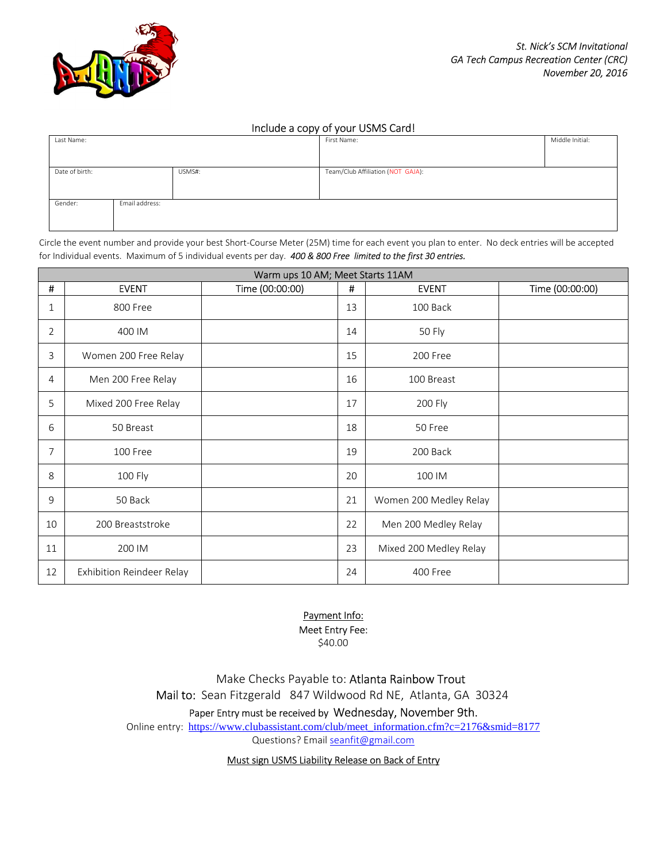

### Include a copy of your USMS Card!

| Last Name:     |                |        | .<br>First Name:                  | Middle Initial: |
|----------------|----------------|--------|-----------------------------------|-----------------|
|                |                |        |                                   |                 |
|                |                |        |                                   |                 |
| Date of birth: |                | USMS#: | Team/Club Affiliation (NOT GAJA): |                 |
|                |                |        |                                   |                 |
|                |                |        |                                   |                 |
| Gender:        | Email address: |        |                                   |                 |
|                |                |        |                                   |                 |
|                |                |        |                                   |                 |

Circle the event number and provide your best Short-Course Meter (25M) time for each event you plan to enter. No deck entries will be accepted for Individual events. Maximum of 5 individual events per day. *400 & 800 Free limited to the first 30 entries.* 

| Warm ups 10 AM; Meet Starts 11AM |                           |                 |    |                        |                 |  |  |
|----------------------------------|---------------------------|-----------------|----|------------------------|-----------------|--|--|
| $\pmb{\sharp}$                   | <b>EVENT</b>              | Time (00:00:00) | #  | <b>EVENT</b>           | Time (00:00:00) |  |  |
| 1                                | 800 Free                  |                 | 13 | 100 Back               |                 |  |  |
| $\overline{2}$                   | 400 IM                    |                 | 14 | 50 Fly                 |                 |  |  |
| 3                                | Women 200 Free Relay      |                 | 15 | 200 Free               |                 |  |  |
| 4                                | Men 200 Free Relay        |                 | 16 | 100 Breast             |                 |  |  |
| 5                                | Mixed 200 Free Relay      |                 | 17 | 200 Fly                |                 |  |  |
| 6                                | 50 Breast                 |                 | 18 | 50 Free                |                 |  |  |
| 7                                | 100 Free                  |                 | 19 | 200 Back               |                 |  |  |
| 8                                | 100 Fly                   |                 | 20 | 100 IM                 |                 |  |  |
| 9                                | 50 Back                   |                 | 21 | Women 200 Medley Relay |                 |  |  |
| 10                               | 200 Breaststroke          |                 | 22 | Men 200 Medley Relay   |                 |  |  |
| 11                               | 200 IM                    |                 | 23 | Mixed 200 Medley Relay |                 |  |  |
| 12                               | Exhibition Reindeer Relay |                 | 24 | 400 Free               |                 |  |  |

## Payment Info:

Meet Entry Fee:

\$40.00

Make Checks Payable to: Atlanta Rainbow Trout Mail to: Sean Fitzgerald 847 Wildwood Rd NE, Atlanta, GA 30324

Paper Entry must be received by Wednesday, November 9th.

Online entry: https://www.clubassistant.com/club/meet\_information.cfm?c=2176&smid=8177

Questions? Email seanfit@gmail.com

Must sign USMS Liability Release on Back of Entry